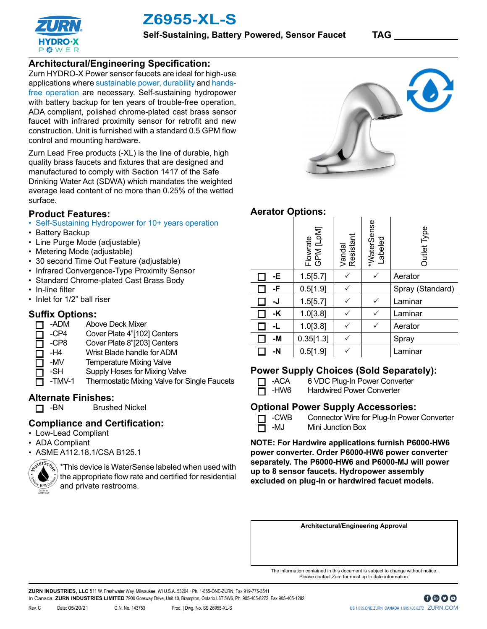

**Z6955-XL-S**

# **Architectural/Engineering Specification:**

Zurn HYDRO-X Power sensor faucets are ideal for high-use applications where sustainable power, durability and handsfree operation are necessary. Self-sustaining hydropower with battery backup for ten years of trouble-free operation, ADA compliant, polished chrome-plated cast brass sensor faucet with infrared proximity sensor for retrofit and new construction. Unit is furnished with a standard 0.5 GPM flow control and mounting hardware.

Zurn Lead Free products (-XL) is the line of durable, high quality brass faucets and fixtures that are designed and manufactured to comply with Section 1417 of the Safe Drinking Water Act (SDWA) which mandates the weighted average lead content of no more than 0.25% of the wetted surface.

## **Product Features:**

- Self-Sustaining Hydropower for 10+ years operation
- Battery Backup
- Line Purge Mode (adjustable)
- Metering Mode (adjustable)
- 30 second Time Out Feature (adjustable)
- Infrared Convergence-Type Proximity Sensor
- Standard Chrome-plated Cast Brass Body
- In-line filter
- Inlet for 1/2" ball riser

### **Suffix Options:**

- -ADM Above Deck Mixer П.
- -CP4 Cover Plate 4"[102] Centers  $\Box$
- -CP8 Cover Plate 8"[203] Centers □
- -H4 Wrist Blade handle for ADM  $\Box$
- -MV Temperature Mixing Valve П
	- -SH Supply Hoses for Mixing Valve

**Brushed Nickel** 

-TMV-1 Thermostatic Mixing Valve for Single Faucets

# **Alternate Finishes:**<br>D -BN Brushe

# **Compliance and Certification:**

- Low-Lead Compliant
- ADA Compliant
- ASME A112.18.1/CSA B125.1



\*This device is WaterSense labeled when used with the appropriate flow rate and certified for residential and private restrooms.



# **Aerator Options:**

|    | Flowrate<br>GPM [LpM] | Vandal<br>Resistant | *WaterSense<br>Labeled | Outlet Type      |
|----|-----------------------|---------------------|------------------------|------------------|
| -Е | 1.5[5.7]              |                     |                        | Aerator          |
| -F | 0.5[1.9]              |                     |                        | Spray (Standard) |
| -J | 1.5[5.7]              |                     |                        | Laminar          |
| -K | 1.0[3.8]              |                     | ✓                      | Laminar          |
| -L | 1.0[3.8]              |                     |                        | Aerator          |
| -M | 0.35[1.3]             |                     |                        | Spray            |
| -N | 0.5[1.9]              |                     |                        | Laminar          |

#### **Power Supply Choices (Sold Separately):**

- 
- T -ACA 6 VDC Plug-In Power Converter
- -HW6 Hardwired Power Converter п

#### **Optional Power Supply Accessories:**

T -CWB Connector Wire for Plug-In Power Converter **D** -MJ Mini Junction Box

**NOTE: For Hardwire applications furnish P6000-HW6 power converter. Order P6000-HW6 power converter separately. The P6000-HW6 and P6000-MJ will power up to 8 sensor faucets. Hydropower assembly excluded on plug-in or hardwired facuet models.** 

**Architectural/Engineering Approval**

The information contained in this document is subject to change without notice. Please contact Zurn for most up to date information.

**ZURN INDUSTRIES, LLC** 511 W. Freshwater Way, Milwaukee, WI U.S.A. 53204 · Ph. 1-855-ONE-ZURN, Fax 919-775-3541 In Canada: **ZURN INDUSTRIES LIMITED** 7900 Goreway Drive, Unit 10, Brampton, Ontario L6T 5W6, Ph. 905-405-8272, Fax 905-405-1292